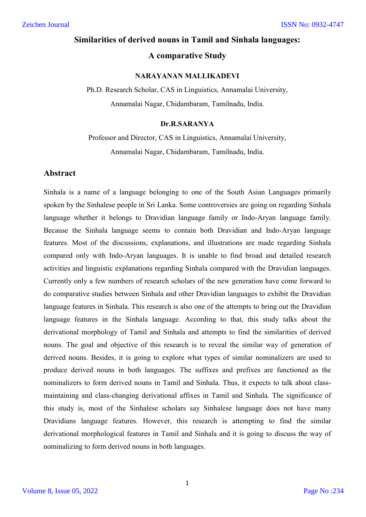# **Similarities of derived nouns in Tamil and Sinhala languages: A comparative Study**

#### **NARAYANAN MALLIKADEVI**

Ph.D. Research Scholar, CAS in Linguistics, Annamalai University, Annamalai Nagar, Chidambaram, Tamilnadu, India.

#### **Dr.R.SARANYA**

## Professor and Director, CAS in Linguistics, Annamalai University, Annamalai Nagar, Chidambaram, Tamilnadu, India.

#### **Abstract**

Sinhala is a name of a language belonging to one of the South Asian Languages primarily spoken by the Sinhalese people in Sri Lanka. Some controversies are going on regarding Sinhala language whether it belongs to Dravidian language family or Indo-Aryan language family. Because the Sinhala language seems to contain both Dravidian and Indo-Aryan language features. Most of the discussions, explanations, and illustrations are made regarding Sinhala compared only with Indo-Aryan languages. It is unable to find broad and detailed research activities and linguistic explanations regarding Sinhala compared with the Dravidian languages. Currently only a few numbers of research scholars of the new generation have come forward to do comparative studies between Sinhala and other Dravidian languages to exhibit the Dravidian language features in Sinhala. This research is also one of the attempts to bring out the Dravidian language features in the Sinhala language. According to that, this study talks about the derivational morphology of Tamil and Sinhala and attempts to find the similarities of derived nouns. The goal and objective of this research is to reveal the similar way of generation of derived nouns. Besides, it is going to explore what types of similar nominalizers are used to produce derived nouns in both languages. The suffixes and prefixes are functioned as the nominalizers to form derived nouns in Tamil and Sinhala. Thus, it expects to talk about classmaintaining and class-changing derivational affixes in Tamil and Sinhala. The significance of this study is, most of the Sinhalese scholars say Sinhalese language does not have many Dravidians language features. However, this research is attempting to find the similar derivational morphological features in Tamil and Sinhala and it is going to discuss the way of nominalizing to form derived nouns in both languages.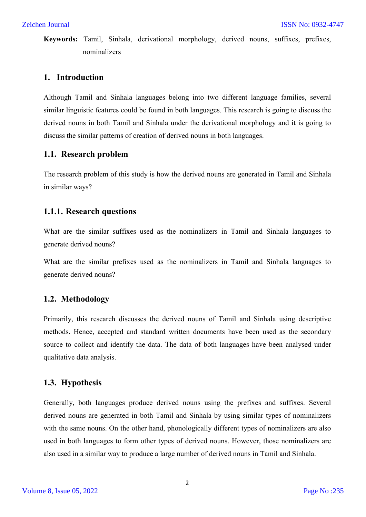**Keywords:** Tamil, Sinhala, derivational morphology, derived nouns, suffixes, prefixes, nominalizers

## **1. Introduction**

Although Tamil and Sinhala languages belong into two different language families, several similar linguistic features could be found in both languages. This research is going to discuss the derived nouns in both Tamil and Sinhala under the derivational morphology and it is going to discuss the similar patterns of creation of derived nouns in both languages.

## **1.1. Research problem**

The research problem of this study is how the derived nouns are generated in Tamil and Sinhala in similar ways?

## **1.1.1. Research questions**

What are the similar suffixes used as the nominalizers in Tamil and Sinhala languages to generate derived nouns?

What are the similar prefixes used as the nominalizers in Tamil and Sinhala languages to generate derived nouns?

## **1.2. Methodology**

Primarily, this research discusses the derived nouns of Tamil and Sinhala using descriptive methods. Hence, accepted and standard written documents have been used as the secondary source to collect and identify the data. The data of both languages have been analysed under qualitative data analysis.

## **1.3. Hypothesis**

Generally, both languages produce derived nouns using the prefixes and suffixes. Several derived nouns are generated in both Tamil and Sinhala by using similar types of nominalizers with the same nouns. On the other hand, phonologically different types of nominalizers are also used in both languages to form other types of derived nouns. However, those nominalizers are also used in a similar way to produce a large number of derived nouns in Tamil and Sinhala.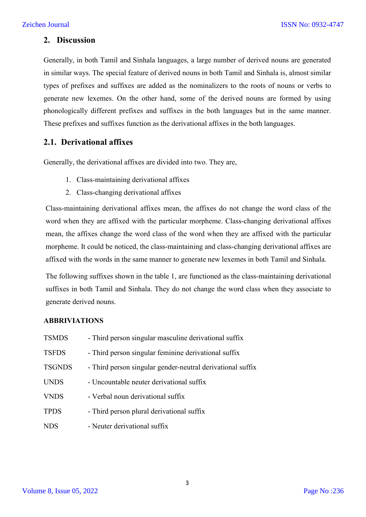### **2. Discussion**

Generally, in both Tamil and Sinhala languages, a large number of derived nouns are generated in similar ways. The special feature of derived nouns in both Tamil and Sinhala is, almost similar types of prefixes and suffixes are added as the nominalizers to the roots of nouns or verbs to generate new lexemes. On the other hand, some of the derived nouns are formed by using phonologically different prefixes and suffixes in the both languages but in the same manner. These prefixes and suffixes function as the derivational affixes in the both languages.

## **2.1. Derivational affixes**

Generally, the derivational affixes are divided into two. They are,

- 1. Class-maintaining derivational affixes
- 2. Class-changing derivational affixes

Class-maintaining derivational affixes mean, the affixes do not change the word class of the word when they are affixed with the particular morpheme. Class-changing derivational affixes mean, the affixes change the word class of the word when they are affixed with the particular morpheme. It could be noticed, the class-maintaining and class-changing derivational affixes are affixed with the words in the same manner to generate new lexemes in both Tamil and Sinhala.

The following suffixes shown in the table 1, are functioned as the class-maintaining derivational suffixes in both Tamil and Sinhala. They do not change the word class when they associate to generate derived nouns.

#### **ABBRIVIATIONS**

| <b>TSMDS</b>  | - Third person singular masculine derivational suffix      |
|---------------|------------------------------------------------------------|
| <b>TSFDS</b>  | - Third person singular feminine derivational suffix       |
| <b>TSGNDS</b> | - Third person singular gender-neutral derivational suffix |
| <b>UNDS</b>   | - Uncountable neuter derivational suffix                   |
| <b>VNDS</b>   | - Verbal noun derivational suffix                          |
| <b>TPDS</b>   | - Third person plural derivational suffix                  |
| <b>NDS</b>    | - Neuter derivational suffix                               |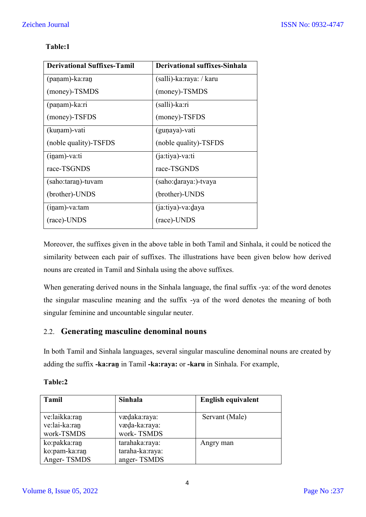| <b>Derivational Suffixes-Tamil</b> | <b>Derivational suffixes-Sinhala</b> |
|------------------------------------|--------------------------------------|
| (paṇam)-ka:ran                     | (salli)-ka:raya: / karu              |
| (money)-TSMDS                      | (money)-TSMDS                        |
| (paṇam)-ka:ri                      | (salli)-ka:ri                        |
| (money)-TSFDS                      | (money)-TSFDS                        |
| (kuṇam)-vati                       | (gunaya)-vati                        |
| (noble quality)-TSFDS              | (noble quality)-TSFDS                |
| $(i$ nam)-va:ti                    | (ja:tiya)-va:ti                      |
| race-TSGNDS                        | race-TSGNDS                          |
| (saho:taran)-tuvam                 | (saho:daraya:)-tvaya                 |
| (brother)-UNDS                     | (brother)-UNDS                       |
| $(inam)$ -va: $tam$                | (ja:tiya)-va:daya                    |

## **Table:1**

Moreover, the suffixes given in the above table in both Tamil and Sinhala, it could be noticed the similarity between each pair of suffixes. The illustrations have been given below how derived nouns are created in Tamil and Sinhala using the above suffixes.

(race)-UNDS

When generating derived nouns in the Sinhala language, the final suffix -ya: of the word denotes the singular masculine meaning and the suffix -ya of the word denotes the meaning of both singular feminine and uncountable singular neuter.

## 2.2. **Generating masculine denominal nouns**

In both Tamil and Sinhala languages, several singular masculine denominal nouns are created by adding the suffix **-ka:raṉ** in Tamil **-ka:raya:** or **-karu** in Sinhala. For example,

## **Table:2**

(race)-UNDS

| <b>Tamil</b>                                 | Sinhala                                          | <b>English equivalent</b> |
|----------------------------------------------|--------------------------------------------------|---------------------------|
| ve:laikka:ran<br>ve:lai-ka:ran<br>work-TSMDS | vædaka:raya:<br>væda-ka:raya:<br>work-TSMDS      | Servant (Male)            |
| ko:pakka:ran<br>ko:pam-ka:ran<br>Anger-TSMDS | tarahaka:raya:<br>taraha-ka:raya:<br>anger-TSMDS | Angry man                 |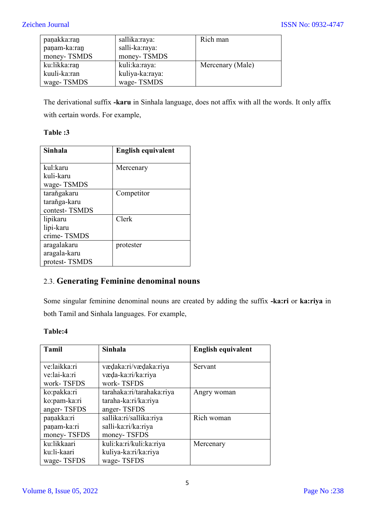| paṇakka:ran  | sallika:raya:   | Rich man         |
|--------------|-----------------|------------------|
| paṇam-ka:ran | salli-ka:raya:  |                  |
| money-TSMDS  | money-TSMDS     |                  |
| ku:likka:ran | kuli:ka:raya:   | Mercenary (Male) |
| kuuli-ka:ran | kuliya-ka:raya: |                  |
| wage-TSMDS   | wage-TSMDS      |                  |

The derivational suffix **-karu** in Sinhala language, does not affix with all the words. It only affix with certain words. For example,

### **Table :3**

| <b>Sinhala</b> | <b>English equivalent</b> |
|----------------|---------------------------|
|                |                           |
| kul:karu       | Mercenary                 |
| kuli-karu      |                           |
| wage-TSMDS     |                           |
| taraňgakaru    | Competitor                |
| taraňga-karu   |                           |
| contest-TSMDS  |                           |
| lipikaru       | Clerk                     |
| lipi-karu      |                           |
| crime-TSMDS    |                           |
| aragalakaru    | protester                 |
| aragala-karu   |                           |
| protest-TSMDS  |                           |

## 2.3. **Generating Feminine denominal nouns**

Some singular feminine denominal nouns are created by adding the suffix **-ka:ri** or **ka:riya** in both Tamil and Sinhala languages. For example,

| <b>Tamil</b> | <b>Sinhala</b>            | <b>English equivalent</b> |
|--------------|---------------------------|---------------------------|
|              |                           |                           |
| ve:laikka:ri | vædaka:ri/vædaka:riya     | Servant                   |
| ve:lai-ka:ri | væda-ka:ri/ka:riya        |                           |
| work-TSFDS   | work-TSFDS                |                           |
| ko:pakka:ri  | tarahaka:ri/tarahaka:riya | Angry woman               |
| ko:pam-ka:ri | taraha-ka:ri/ka:riya      |                           |
| anger-TSFDS  | anger-TSFDS               |                           |
| panakka:ri   | sallika:ri/sallika:riya   | Rich woman                |
| panam-ka:ri  | salli-ka:ri/ka:riya       |                           |
| money-TSFDS  | money-TSFDS               |                           |
| ku:likkaari  | kuli:ka:ri/kuli:ka:riya   | Mercenary                 |
| ku:li-kaari  | kuliya-ka:ri/ka:riya      |                           |
| wage-TSFDS   | wage-TSFDS                |                           |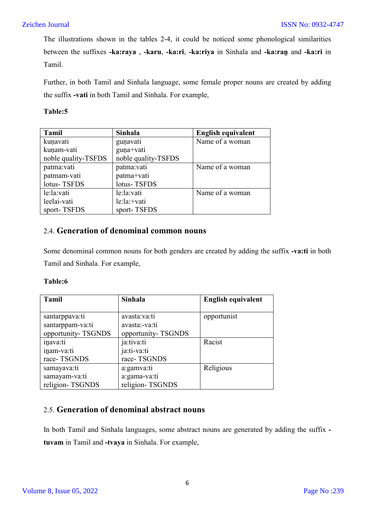The illustrations shown in the tables 2-4, it could be noticed some phonological similarities between the suffixes **-ka:raya** , **-karu**, **-ka:ri**, **-ka:riya** in Sinhala and **-ka:raṉ** and **-ka:ri** in Tamil.

Further, in both Tamil and Sinhala language, some female proper nouns are created by adding the suffix **-vati** in both Tamil and Sinhala. For example,

#### **Table:5**

| Tamil               | <b>Sinhala</b>      | <b>English equivalent</b> |
|---------------------|---------------------|---------------------------|
| kunavati            | gunavati            | Name of a woman           |
| kunam-vati          | guna+vati           |                           |
| noble quality-TSFDS | noble quality-TSFDS |                           |
| patma:vati          | patma:vati          | Name of a woman           |
| patmam-vati         | patma+vati          |                           |
| lotus-TSFDS         | lotus-TSFDS         |                           |
| le:la:vati          | le:la:vati          | Name of a woman           |
| leelai-vati         | $le: la: +vati$     |                           |
| sport-TSFDS         | sport-TSFDS         |                           |

## 2.4. **Generation of denominal common nouns**

Some denominal common nouns for both genders are created by adding the suffix **-va:ti** in both Tamil and Sinhala. For example,

#### **Table:6**

| <b>Tamil</b>       | Sinhala            | <b>English equivalent</b> |
|--------------------|--------------------|---------------------------|
|                    |                    |                           |
| santarppava:ti     | avasta:va:ti       | opportunist               |
| santarppam-va:ti   | avasta:-va:ti      |                           |
| opportunity-TSGNDS | opportunity-TSGNDS |                           |
| inava:ti           | ja:tiva:ti         | Racist                    |
| inam-va:ti         | ja:ti-va:ti        |                           |
| race-TSGNDS        | race-TSGNDS        |                           |
| samayava:ti        | a:gamva:ti         | Religious                 |
| samayam-va:ti      | a:gama-va:ti       |                           |
| religion-TSGNDS    | religion-TSGNDS    |                           |

## 2.5. **Generation of denominal abstract nouns**

In both Tamil and Sinhala languages, some abstract nouns are generated by adding the suffix  **tuvam** in Tamil and **-tvaya** in Sinhala. For example,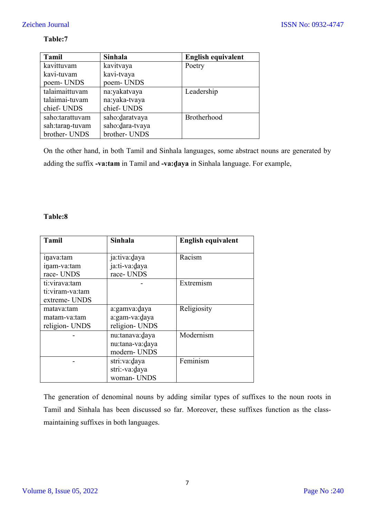## **Table:7**

| <b>Tamil</b>    | Sinhala         | English equivalent |
|-----------------|-----------------|--------------------|
| kavittuvam      | kavitvaya       | Poetry             |
| kavi-tuvam      | kavi-tvaya      |                    |
| poem-UNDS       | poem-UNDS       |                    |
| talaimaittuvam  | na:yakatvaya    | Leadership         |
| talaimai-tuvam  | na:yaka-tvaya   |                    |
| chief-UNDS      | chief-UNDS      |                    |
| saho:tarattuvam | saho:daratvaya  | Brotherhood        |
| sah:taran-tuvam | saho:dara-tvaya |                    |
| brother- UNDS   | brother- UNDS   |                    |

On the other hand, in both Tamil and Sinhala languages, some abstract nouns are generated by adding the suffix **-va:tam** in Tamil and **-va:ḏaya** in Sinhala language. For example,

### **Table:8**

| <b>Tamil</b>                                           | <b>Sinhala</b>                                    | <b>English equivalent</b> |
|--------------------------------------------------------|---------------------------------------------------|---------------------------|
| inava:tam<br>inam-va:tam<br>race-UNDS<br>ti:virava:tam | ja:tiva:daya<br>ja:ti-va:daya<br>race-UNDS        | Racism<br>Extremism       |
| ti:viram-va:tam<br>extreme- UNDS                       |                                                   |                           |
| matava:tam<br>matam-va:tam<br>religion- UNDS           | a:gamva:daya<br>a:gam-va:daya<br>religion- UNDS   | Religiosity               |
|                                                        | nu:tanava:daya<br>nu:tana-va:daya<br>modern- UNDS | Modernism                 |
|                                                        | stri:va:daya<br>stri:-va:daya<br>woman- UNDS      | Feminism                  |

The generation of denominal nouns by adding similar types of suffixes to the noun roots in Tamil and Sinhala has been discussed so far. Moreover, these suffixes function as the classmaintaining suffixes in both languages.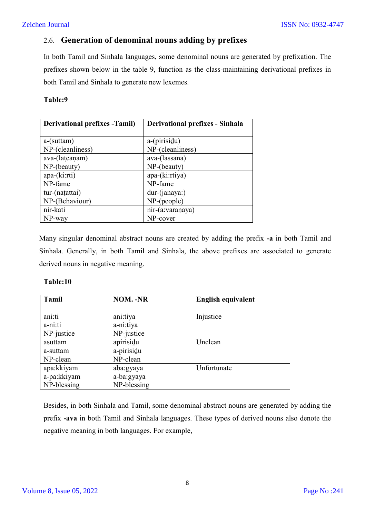## 2.6. **Generation of denominal nouns adding by prefixes**

In both Tamil and Sinhala languages, some denominal nouns are generated by prefixation. The prefixes shown below in the table 9, function as the class-maintaining derivational prefixes in both Tamil and Sinhala to generate new lexemes.

#### **Table:9**

| <b>Derivational prefixes - Tamil)</b> | Derivational prefixes - Sinhala |  |
|---------------------------------------|---------------------------------|--|
|                                       |                                 |  |
| $a$ -(suttam)                         | a-(pirisidu)                    |  |
| NP-(cleanliness)                      | NP-(cleanliness)                |  |
| ava-(latcanam)                        | ava-(lassana)                   |  |
| NP-(beauty)                           | NP-(beauty)                     |  |
| $apa-(ki:rti)$                        | apa-(ki:rtiya)                  |  |
| NP-fame                               | NP-fame                         |  |
| tur-(națattai)                        | $dur$ - $(janaya)$              |  |
| NP-(Behaviour)                        | $NP$ -(people)                  |  |
| nir-kati                              | nir-(a:varaṇaya)                |  |
| NP-way                                | NP-cover                        |  |

Many singular denominal abstract nouns are created by adding the prefix **-a** in both Tamil and Sinhala. Generally, in both Tamil and Sinhala, the above prefixes are associated to generate derived nouns in negative meaning.

#### **Table:10**

| <b>Tamil</b> | <b>NOM.</b> -NR | <b>English equivalent</b> |
|--------------|-----------------|---------------------------|
|              |                 |                           |
| ani:ti       | ani:tiya        | Injustice                 |
| a-ni:ti      | a-ni:tiya       |                           |
| NP-justice   | NP-justice      |                           |
| asuttam      | apirisidu       | Unclean                   |
| a-suttam     | a-pirisidu      |                           |
| NP-clean     | NP-clean        |                           |
| apa:kkiyam   | aba:gyaya       | Unfortunate               |
| a-pa:kkiyam  | a-ba:gyaya      |                           |
| NP-blessing  | NP-blessing     |                           |

Besides, in both Sinhala and Tamil, some denominal abstract nouns are generated by adding the prefix **-ava** in both Tamil and Sinhala languages. These types of derived nouns also denote the negative meaning in both languages. For example,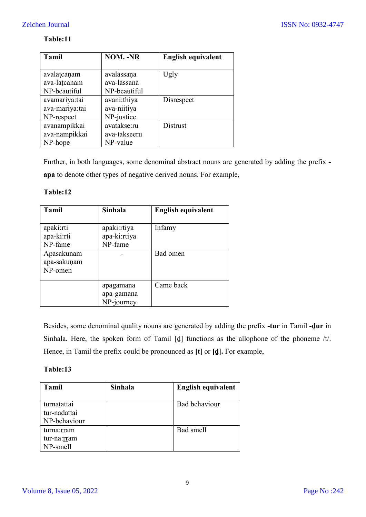### **Table:11**

| <b>Tamil</b>   | <b>NOM. -NR</b> | <b>English equivalent</b> |
|----------------|-----------------|---------------------------|
|                |                 |                           |
| avalatcanam    | avalassana      | Ugly                      |
| ava-latcanam   | ava-lassana     |                           |
| NP-beautiful   | NP-beautiful    |                           |
| avamariya:tai  | avani:thiya     | Disrespect                |
| ava-mariya:tai | ava-niitiya     |                           |
| NP-respect     | NP-justice      |                           |
| avanampikkai   | avatakse:ru     | Distrust                  |
| ava-nampikkai  | ava-takseeru    |                           |
| NP-hope        | NP-value        |                           |

Further, in both languages, some denominal abstract nouns are generated by adding the prefix  **apa** to denote other types of negative derived nouns. For example,

#### **Table:12**

| <b>Tamil</b> | Sinhala      | <b>English equivalent</b> |
|--------------|--------------|---------------------------|
|              |              |                           |
| apaki:rti    | apaki:rtiya  | Infamy                    |
| apa-ki:rti   | apa-ki:rtiya |                           |
| NP-fame      | NP-fame      |                           |
| Apasakunam   |              | Bad omen                  |
| apa-sakunam  |              |                           |
| NP-omen      |              |                           |
|              |              |                           |
|              | apagamana    | Came back                 |
|              | apa-gamana   |                           |
|              | NP-journey   |                           |

Besides, some denominal quality nouns are generated by adding the prefix **-tur** in Tamil **-ḏur** in Sinhala. Here, the spoken form of Tamil [ḏ] functions as the allophone of the phoneme /t/. Hence, in Tamil the prefix could be pronounced as **[t]** or **[ḏ].** For example,

| <b>Tamil</b> | Sinhala | English equivalent |
|--------------|---------|--------------------|
|              |         |                    |
| turnatattai  |         | Bad behaviour      |
| tur-nadattai |         |                    |
| NP-behaviour |         |                    |
| turna:rram   |         | Bad smell          |
| tur-na:rram  |         |                    |
| NP-smell     |         |                    |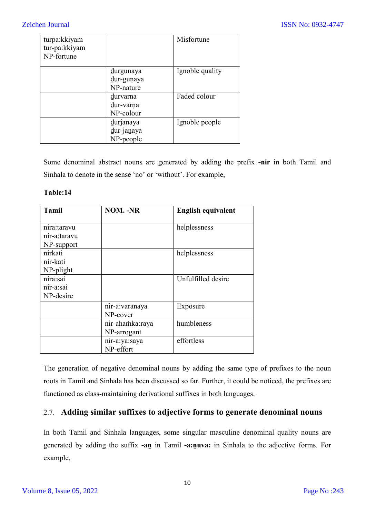| turpa:kkiyam<br>tur-pa:kkiyam<br>NP-fortune |                                      | Misfortune      |
|---------------------------------------------|--------------------------------------|-----------------|
|                                             | durgunaya<br>dur-gunaya<br>NP-nature | Ignoble quality |
|                                             | durvarna<br>dur-varna<br>NP-colour   | Faded colour    |
|                                             | durjanaya<br>dur-janaya<br>NP-people | Ignoble people  |

Some denominal abstract nouns are generated by adding the prefix **-nir** in both Tamil and Sinhala to denote in the sense 'no' or 'without'. For example,

#### **Table:14**

| <b>Tamil</b> | <b>NOM. -NR</b> | <b>English equivalent</b> |
|--------------|-----------------|---------------------------|
|              |                 |                           |
| nira:taravu  |                 | helplessness              |
| nir-a:taravu |                 |                           |
| NP-support   |                 |                           |
| nirkati      |                 | helplessness              |
| nir-kati     |                 |                           |
| NP-plight    |                 |                           |
| nira:sai     |                 | Unfulfilled desire        |
| nir-a:sai    |                 |                           |
| NP-desire    |                 |                           |
|              | nir-a:varanaya  | Exposure                  |
|              | NP-cover        |                           |
|              | nir-ahamka:raya | humbleness                |
|              | NP-arrogant     |                           |
|              | nir-a:ya:saya   | effortless                |
|              | NP-effort       |                           |

The generation of negative denominal nouns by adding the same type of prefixes to the noun roots in Tamil and Sinhala has been discussed so far. Further, it could be noticed, the prefixes are functioned as class-maintaining derivational suffixes in both languages.

## 2.7. **Adding similar suffixes to adjective forms to generate denominal nouns**

In both Tamil and Sinhala languages, some singular masculine denominal quality nouns are generated by adding the suffix **-aṉ** in Tamil **-a:ṉuva:** in Sinhala to the adjective forms. For example,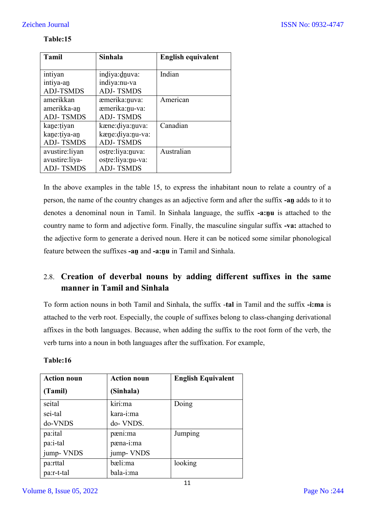| <b>Tamil</b>     | <b>Sinhala</b>     | <b>English equivalent</b> |
|------------------|--------------------|---------------------------|
|                  |                    |                           |
| intiyan          | indiya:dnuva:      | Indian                    |
| intiya-an        | indiya:nu-va       |                           |
| <b>ADJ-TSMDS</b> | <b>ADJ-TSMDS</b>   |                           |
| amerikkan        | æmerika:nuva:      | American                  |
| amerikka-an      | æmerika:nu-va:     |                           |
| <b>ADJ-TSMDS</b> | <b>ADJ-TSMDS</b>   |                           |
| kane: tiyan      | kæne:diya:nuva:    | Canadian                  |
| kane: tiya-an    | kæne: diya: nu-va: |                           |
| <b>ADJ-TSMDS</b> | <b>ADJ-TSMDS</b>   |                           |
| avustire:liyan   | ostre:liya:nuva:   | Australian                |
| avustire:liya-   | ostre:liya:nu-va:  |                           |
| <b>ADJ-TSMDS</b> | <b>ADJ-TSMDS</b>   |                           |

#### **Table:15**

In the above examples in the table 15, to express the inhabitant noun to relate a country of a person, the name of the country changes as an adjective form and after the suffix **-aṉ** adds to it to denotes a denominal noun in Tamil. In Sinhala language, the suffix **-a:ṉu** is attached to the country name to form and adjective form. Finally, the masculine singular suffix **-va:** attached to the adjective form to generate a derived noun. Here it can be noticed some similar phonological feature between the suffixes **-aṉ** and **-a:ṉu** in Tamil and Sinhala.

## 2.8. **Creation of deverbal nouns by adding different suffixes in the same manner in Tamil and Sinhala**

To form action nouns in both Tamil and Sinhala, the suffix -**tal** in Tamil and the suffix **-i:ma** is attached to the verb root. Especially, the couple of suffixes belong to class-changing derivational affixes in the both languages. Because, when adding the suffix to the root form of the verb, the verb turns into a noun in both languages after the suffixation. For example,

| <b>Action noun</b> | <b>Action noun</b> | <b>English Equivalent</b> |
|--------------------|--------------------|---------------------------|
| (Tamil)            | (Sinhala)          |                           |
| seital             | kiri:ma            | Doing                     |
| sei-tal            | kara-i:ma          |                           |
| do-VNDS            | do- VNDS.          |                           |
| pa:ital            | pæni:ma            | Jumping                   |
| pa:i-tal           | pæna-i:ma          |                           |
| jump-VNDS          | jump-VNDS          |                           |
| pa:rttal           | bæli:ma            | looking                   |
| pa:r-t-tal         | bala-i:ma          |                           |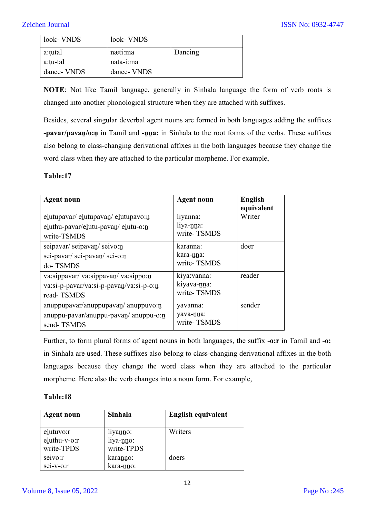| look- VNDS  | look- VNDS  |         |
|-------------|-------------|---------|
| a:tutal     | næti:ma     | Dancing |
| a:tu-tal    | nata-i:ma   |         |
| dance- VNDS | dance- VNDS |         |

**NOTE**: Not like Tamil language, generally in Sinhala language the form of verb roots is changed into another phonological structure when they are attached with suffixes.

Besides, several singular deverbal agent nouns are formed in both languages adding the suffixes **-pavar/pavan/o:n** in Tamil and **-nna:** in Sinhala to the root forms of the verbs. These suffixes also belong to class-changing derivational affixes in the both languages because they change the word class when they are attached to the particular morpheme. For example,

#### **Table:17**

| <b>Agent noun</b>                                                                           | <b>Agent noun</b>                          | English<br>equivalent |
|---------------------------------------------------------------------------------------------|--------------------------------------------|-----------------------|
| elutupavar/ elutupavan/ elutupavo:n<br>eluthu-pavar/elutu-pavan/elutu-o:n<br>write-TSMDS    | liyanna:<br>liya-nna:<br>write-TSMDS       | Writer                |
| seipavar/seipavan/seivo:n<br>sei-pavar/sei-pavan/sei-o:n<br>do-TSMDS                        | karanna:<br>kara-nna:<br>write-TSMDS       | doer                  |
| va:sippavar/va:sippavan/va:sippo:n<br>va:si-p-pavar/va:si-p-pavan/va:si-p-o:n<br>read-TSMDS | kiya: vanna:<br>kiyava-nna:<br>write-TSMDS | reader                |
| anuppupavar/anuppupavan/anuppuvo:n<br>$anuppu$ -pavar/anuppu-pavan/anuppu-o:n<br>send-TSMDS | yavanna:<br>yava-nna:<br>write-TSMDS       | sender                |

Further, to form plural forms of agent nouns in both languages, the suffix **-o:r** in Tamil and **-o:** in Sinhala are used. These suffixes also belong to class-changing derivational affixes in the both languages because they change the word class when they are attached to the particular morpheme. Here also the verb changes into a noun form. For example,

| <b>Agent noun</b>                       | <b>Sinhala</b>                      | English equivalent |
|-----------------------------------------|-------------------------------------|--------------------|
| elutuvo:r<br>eluthu-v-o:r<br>write-TPDS | liyanno:<br>liya-nno:<br>write-TPDS | Writers            |
| seivo:r<br>sei-v-o:r                    | karanno:<br>kara-nno:               | doers              |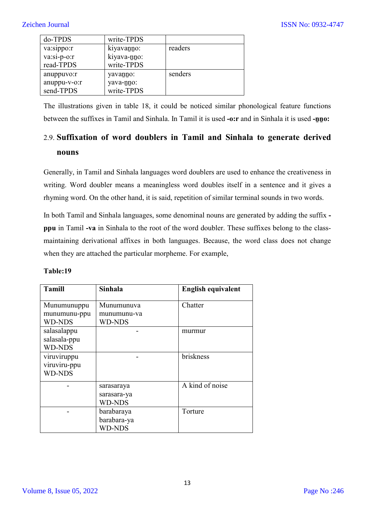| do-TPDS       | write-TPDS  |         |
|---------------|-------------|---------|
| va:sippo:r    | kiyavanno:  | readers |
| $va:si-p-o:r$ | kiyava-nno: |         |
| read-TPDS     | write-TPDS  |         |
| anuppuvo:r    | yavanno:    | senders |
| anuppu-v-o:r  | yava-nno:   |         |
| send-TPDS     | write-TPDS  |         |

The illustrations given in table 18, it could be noticed similar phonological feature functions between the suffixes in Tamil and Sinhala. In Tamil it is used **-o:r** and in Sinhala it is used **-ṉṉo:**

# 2.9. **Suffixation of word doublers in Tamil and Sinhala to generate derived nouns**

Generally, in Tamil and Sinhala languages word doublers are used to enhance the creativeness in writing. Word doubler means a meaningless word doubles itself in a sentence and it gives a rhyming word. On the other hand, it is said, repetition of similar terminal sounds in two words.

In both Tamil and Sinhala languages, some denominal nouns are generated by adding the suffix  **ppu** in Tamil **-va** in Sinhala to the root of the word doubler. These suffixes belong to the classmaintaining derivational affixes in both languages. Because, the word class does not change when they are attached the particular morpheme. For example,

| <b>Tamill</b> | <b>Sinhala</b> | <b>English equivalent</b> |
|---------------|----------------|---------------------------|
| Munumunuppu   | Munumunuva     | Chatter                   |
| munumunu-ppu  | munumunu-va    |                           |
| <b>WD-NDS</b> | <b>WD-NDS</b>  |                           |
| salasalappu   |                | murmur                    |
| salasala-ppu  |                |                           |
| <b>WD-NDS</b> |                |                           |
| viruviruppu   |                | briskness                 |
| viruviru-ppu  |                |                           |
| <b>WD-NDS</b> |                |                           |
|               | sarasaraya     | A kind of noise           |
|               | sarasara-ya    |                           |
|               | <b>WD-NDS</b>  |                           |
|               | barabaraya     | Torture                   |
|               | barabara-ya    |                           |
|               | <b>WD-NDS</b>  |                           |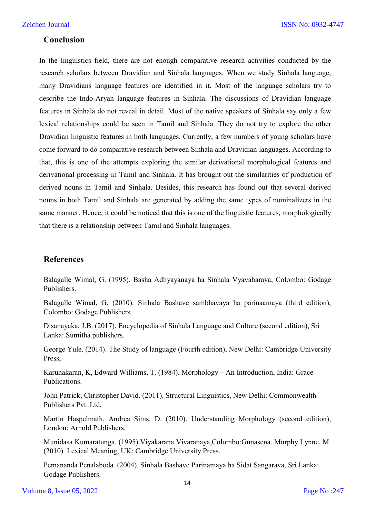#### **Conclusion**

In the linguistics field, there are not enough comparative research activities conducted by the research scholars between Dravidian and Sinhala languages. When we study Sinhala language, many Dravidians language features are identified in it. Most of the language scholars try to describe the Indo-Aryan language features in Sinhala. The discussions of Dravidian language features in Sinhala do not reveal in detail. Most of the native speakers of Sinhala say only a few lexical relationships could be seen in Tamil and Sinhala. They do not try to explore the other Dravidian linguistic features in both languages. Currently, a few numbers of young scholars have come forward to do comparative research between Sinhala and Dravidian languages. According to that, this is one of the attempts exploring the similar derivational morphological features and derivational processing in Tamil and Sinhala. It has brought out the similarities of production of derived nouns in Tamil and Sinhala. Besides, this research has found out that several derived nouns in both Tamil and Sinhala are generated by adding the same types of nominalizers in the same manner. Hence, it could be noticed that this is one of the linguistic features, morphologically that there is a relationship between Tamil and Sinhala languages.

#### **References**

Balagalle Wimal, G. (1995). Basha Adhyayanaya ha Sinhala Vyavaharaya, Colombo: Godage Publishers.

Balagalle Wimal, G. (2010). Sinhala Bashave sambhavaya ha parinaamaya (third edition), Colombo: Godage Publishers.

Disanayaka, J.B. (2017). Encyclopedia of Sinhala Language and Culture (second edition), Sri Lanka: Sumitha publishers.

George Yule. (2014). The Study of language (Fourth edition), New Delhi: Cambridge University Press,

Karunakaran, K, Edward Williams, T. (1984). Morphology – An Introduction, India: Grace Publications.

John Patrick, Christopher David. (2011). Structural Linguistics, New Delhi: Commonwealth Publishers Pvt. Ltd.

Martin Haspelmath, Andrea Sims, D. (2010). Understanding Morphology (second edition), London: Arnold Publishers.

Munidasa Kumaratunga. (1995).Viyakarana Vivaranaya,Colombo:Gunasena. Murphy Lynne, M. (2010). Lexical Meaning, UK: Cambridge University Press.

Pemananda Penalaboda. (2004). Sinhala Bashave Parinamaya ha Sidat Sangarava, Sri Lanka: Godage Publishers.